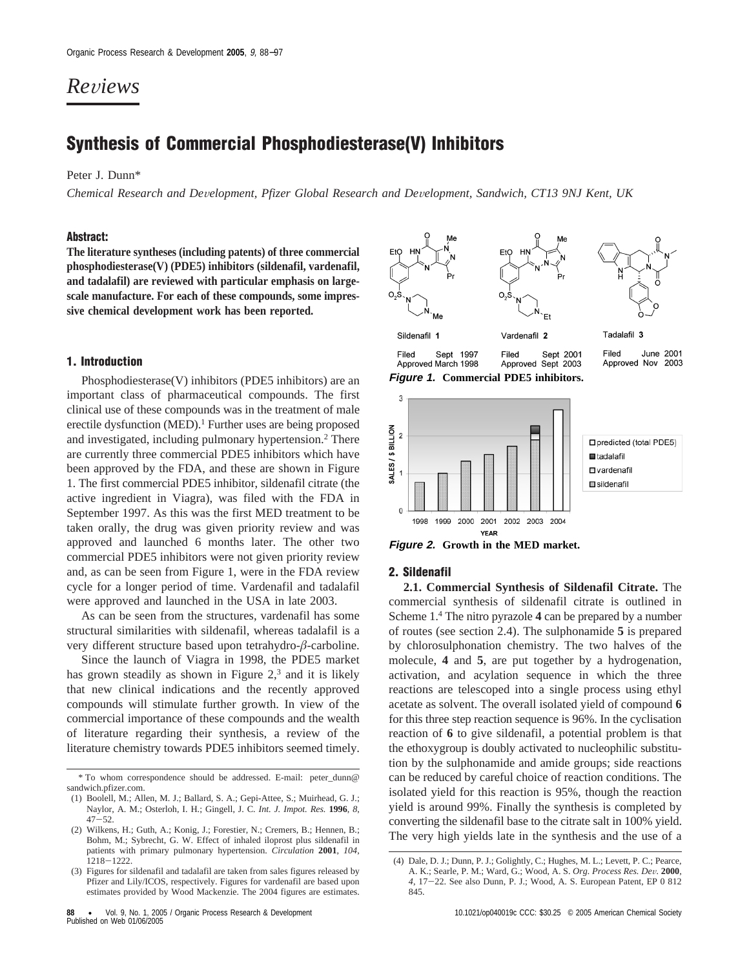# *Re*V*iews*

## **Synthesis of Commercial Phosphodiesterase(V) Inhibitors**

Peter J. Dunn\*

*Chemical Research and De*V*elopment, Pfizer Global Research and De*V*elopment, Sandwich, CT13 9NJ Kent, UK*

### **Abstract:**

**The literature syntheses (including patents) of three commercial phosphodiesterase(V) (PDE5) inhibitors (sildenafil, vardenafil, and tadalafil) are reviewed with particular emphasis on largescale manufacture. For each of these compounds, some impressive chemical development work has been reported.**

## **1. Introduction**

Phosphodiesterase(V) inhibitors (PDE5 inhibitors) are an important class of pharmaceutical compounds. The first clinical use of these compounds was in the treatment of male erectile dysfunction (MED).<sup>1</sup> Further uses are being proposed and investigated, including pulmonary hypertension.2 There are currently three commercial PDE5 inhibitors which have been approved by the FDA, and these are shown in Figure 1. The first commercial PDE5 inhibitor, sildenafil citrate (the active ingredient in Viagra), was filed with the FDA in September 1997. As this was the first MED treatment to be taken orally, the drug was given priority review and was approved and launched 6 months later. The other two commercial PDE5 inhibitors were not given priority review and, as can be seen from Figure 1, were in the FDA review cycle for a longer period of time. Vardenafil and tadalafil were approved and launched in the USA in late 2003.

As can be seen from the structures, vardenafil has some structural similarities with sildenafil, whereas tadalafil is a very different structure based upon tetrahydro-*â*-carboline.

Since the launch of Viagra in 1998, the PDE5 market has grown steadily as shown in Figure  $2<sup>3</sup>$  and it is likely that new clinical indications and the recently approved compounds will stimulate further growth. In view of the commercial importance of these compounds and the wealth of literature regarding their synthesis, a review of the literature chemistry towards PDE5 inhibitors seemed timely.





### **2. Sildenafil**

**2.1. Commercial Synthesis of Sildenafil Citrate.** The commercial synthesis of sildenafil citrate is outlined in Scheme 1.4 The nitro pyrazole **4** can be prepared by a number of routes (see section 2.4). The sulphonamide **5** is prepared by chlorosulphonation chemistry. The two halves of the molecule, **4** and **5**, are put together by a hydrogenation, activation, and acylation sequence in which the three reactions are telescoped into a single process using ethyl acetate as solvent. The overall isolated yield of compound **6** for this three step reaction sequence is 96%. In the cyclisation reaction of **6** to give sildenafil, a potential problem is that the ethoxygroup is doubly activated to nucleophilic substitution by the sulphonamide and amide groups; side reactions can be reduced by careful choice of reaction conditions. The isolated yield for this reaction is 95%, though the reaction yield is around 99%. Finally the synthesis is completed by converting the sildenafil base to the citrate salt in 100% yield. The very high yields late in the synthesis and the use of a

<sup>\*</sup> To whom correspondence should be addressed. E-mail: peter\_dunn@ sandwich.pfizer.com.

<sup>(1)</sup> Boolell, M.; Allen, M. J.; Ballard, S. A.; Gepi-Attee, S.; Muirhead, G. J.; Naylor, A. M.; Osterloh, I. H.; Gingell, J. C. *Int. J. Impot. Res.* **1996**, *8*, <sup>47</sup>-52. (2) Wilkens, H.; Guth, A.; Konig, J.; Forestier, N.; Cremers, B.; Hennen, B.;

Bohm, M.; Sybrecht, G. W. Effect of inhaled iloprost plus sildenafil in patients with primary pulmonary hypertension. *Circulation* **2001**, *104*, <sup>1218</sup>-1222. (3) Figures for sildenafil and tadalafil are taken from sales figures released by

Pfizer and Lily/ICOS, respectively. Figures for vardenafil are based upon estimates provided by Wood Mackenzie. The 2004 figures are estimates.

<sup>(4)</sup> Dale, D. J.; Dunn, P. J.; Golightly, C.; Hughes, M. L.; Levett, P. C.; Pearce, A. K.; Searle, P. M.; Ward, G.; Wood, A. S. *Org. Process Res. De*V*.* **<sup>2000</sup>**, *<sup>4</sup>*, 17-22. See also Dunn, P. J.; Wood, A. S. European Patent, EP 0 812 845.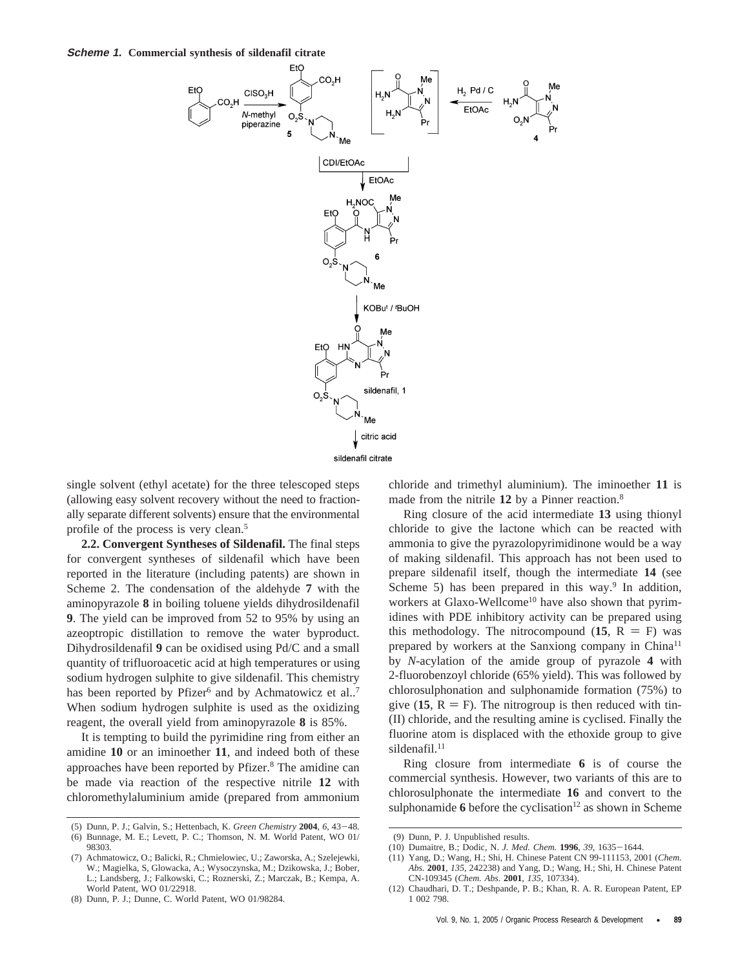

single solvent (ethyl acetate) for the three telescoped steps (allowing easy solvent recovery without the need to fractionally separate different solvents) ensure that the environmental profile of the process is very clean.5

**2.2. Convergent Syntheses of Sildenafil.** The final steps for convergent syntheses of sildenafil which have been reported in the literature (including patents) are shown in Scheme 2. The condensation of the aldehyde **7** with the aminopyrazole **8** in boiling toluene yields dihydrosildenafil **9**. The yield can be improved from 52 to 95% by using an azeoptropic distillation to remove the water byproduct. Dihydrosildenafil **9** can be oxidised using Pd/C and a small quantity of trifluoroacetic acid at high temperatures or using sodium hydrogen sulphite to give sildenafil. This chemistry has been reported by Pfizer<sup>6</sup> and by Achmatowicz et al..<sup>7</sup> When sodium hydrogen sulphite is used as the oxidizing reagent, the overall yield from aminopyrazole **8** is 85%.

It is tempting to build the pyrimidine ring from either an amidine **10** or an iminoether **11**, and indeed both of these approaches have been reported by Pfizer.<sup>8</sup> The amidine can be made via reaction of the respective nitrile **12** with chloromethylaluminium amide (prepared from ammonium chloride and trimethyl aluminium). The iminoether **11** is made from the nitrile 12 by a Pinner reaction.<sup>8</sup>

Ring closure of the acid intermediate **13** using thionyl chloride to give the lactone which can be reacted with ammonia to give the pyrazolopyrimidinone would be a way of making sildenafil. This approach has not been used to prepare sildenafil itself, though the intermediate **14** (see Scheme 5) has been prepared in this way.<sup>9</sup> In addition, workers at Glaxo-Wellcome<sup>10</sup> have also shown that pyrimidines with PDE inhibitory activity can be prepared using this methodology. The nitrocompound  $(15, R = F)$  was prepared by workers at the Sanxiong company in China<sup>11</sup> by *N*-acylation of the amide group of pyrazole **4** with 2-fluorobenzoyl chloride (65% yield). This was followed by chlorosulphonation and sulphonamide formation (75%) to give  $(15, R = F)$ . The nitrogroup is then reduced with tin-(II) chloride, and the resulting amine is cyclised. Finally the fluorine atom is displaced with the ethoxide group to give sildenafil.<sup>11</sup>

Ring closure from intermediate **6** is of course the commercial synthesis. However, two variants of this are to chlorosulphonate the intermediate **16** and convert to the sulphonamide  $6$  before the cyclisation<sup>12</sup> as shown in Scheme

<sup>(5)</sup> Dunn, P. J.; Galvin, S.; Hettenbach, K. *Green Chemistry* **<sup>2004</sup>**, *<sup>6</sup>*, 43-48. (6) Bunnage, M. E.; Levett, P. C.; Thomson, N. M. World Patent, WO 01/ 98303.

<sup>(7)</sup> Achmatowicz, O.; Balicki, R.; Chmielowiec, U.; Zaworska, A.; Szelejewki, W.; Magielka, S, Glowacka, A.; Wysoczynska, M.; Dzikowska, J.; Bober, L.; Landsberg, J.; Falkowski, C.; Roznerski, Z.; Marczak, B.; Kempa, A. World Patent, WO 01/22918.

<sup>(8)</sup> Dunn, P. J.; Dunne, C. World Patent, WO 01/98284.

<sup>(9)</sup> Dunn, P. J. Unpublished results.

<sup>(10)</sup> Dumaitre, B.; Dodic, N. *J. Med. Chem.* **<sup>1996</sup>**, *<sup>39</sup>*, 1635-1644.

<sup>(11)</sup> Yang, D.; Wang, H.; Shi, H. Chinese Patent CN 99-111153, 2001 (*Chem. Abs.* **2001**, *135*, 242238) and Yang, D.; Wang, H.; Shi, H. Chinese Patent CN-109345 (*Chem. Abs*. **2001**, *135*, 107334).

<sup>(12)</sup> Chaudhari, D. T.; Deshpande, P. B.; Khan, R. A. R. European Patent, EP 1 002 798.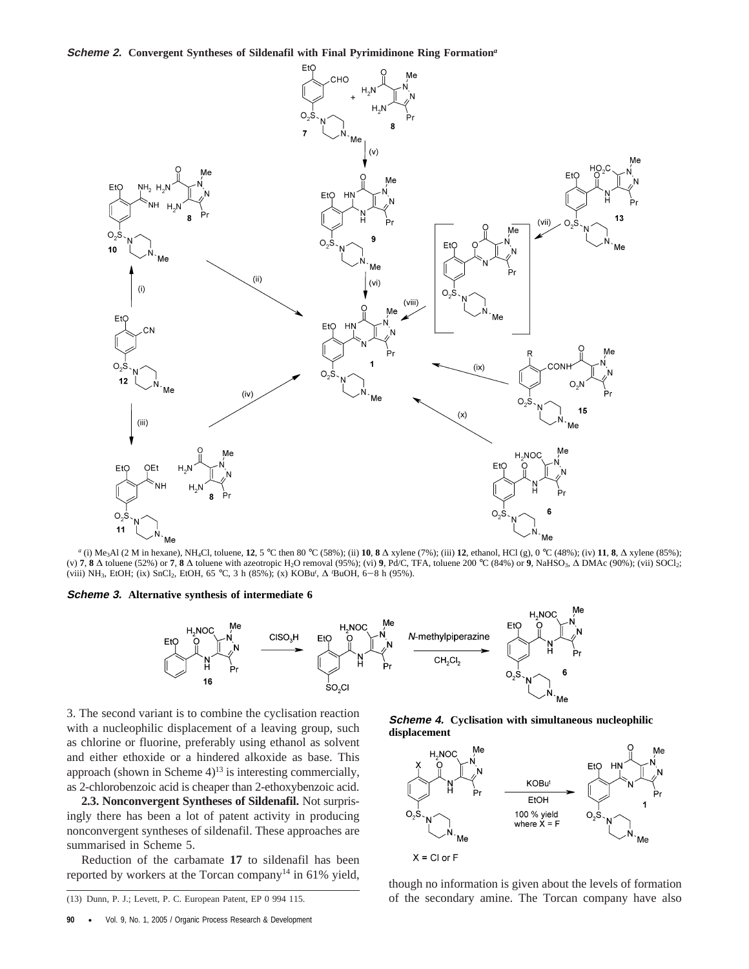#### **Scheme 2. Convergent Syntheses of Sildenafil with Final Pyrimidinone Ring Formation***<sup>a</sup>*



*<sup>a</sup>* (i) Me3Al (2 M in hexane), NH4Cl, toluene, **12**, 5 °C then 80 °C (58%); (ii) **10**, **8** ∆ xylene (7%); (iii) **12**, ethanol, HCl (g), 0 °C (48%); (iv) **11**, **8**, ∆ xylene (85%); (v) **7**, **8** ∆ toluene (52%) or **7**, **8** ∆ toluene with azeotropic H2O removal (95%); (vi) **9**, Pd/C, TFA, toluene 200 °C (84%) or **9**, NaHSO3, ∆ DMAc (90%); (vii) SOCl2; (viii) NH<sub>3</sub>, EtOH; (ix) SnCl<sub>2</sub>, EtOH, 65 °C, 3 h (85%); (x) KOBu<sup>*t*</sup>, ∆ *'*BuOH, 6–8 h (95%).

**Scheme 3. Alternative synthesis of intermediate 6**



3. The second variant is to combine the cyclisation reaction with a nucleophilic displacement of a leaving group, such as chlorine or fluorine, preferably using ethanol as solvent and either ethoxide or a hindered alkoxide as base. This approach (shown in Scheme  $4$ )<sup>13</sup> is interesting commercially, as 2-chlorobenzoic acid is cheaper than 2-ethoxybenzoic acid.

**2.3. Nonconvergent Syntheses of Sildenafil.** Not surprisingly there has been a lot of patent activity in producing nonconvergent syntheses of sildenafil. These approaches are summarised in Scheme 5.

Reduction of the carbamate **17** to sildenafil has been reported by workers at the Torcan company<sup>14</sup> in 61% yield, though no information is given about the levels of formation

**Scheme 4. Cyclisation with simultaneous nucleophilic displacement**



(13) Dunn, P. J.; Levett, P. C. European Patent, EP 0 994 115. of the secondary amine. The Torcan company have also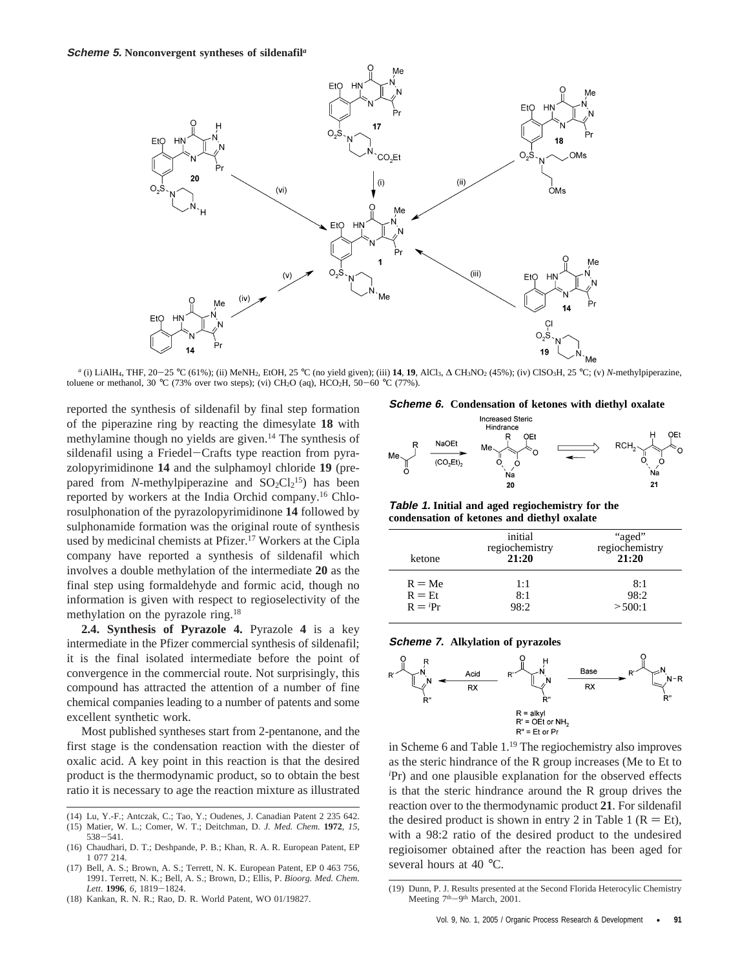

*a* (i) LiAlH<sub>4</sub>, THF, 20-25 °C (61%); (ii) MeNH<sub>2</sub>, EtOH, 25 °C (no yield given); (iii) 14, 19, AlCl<sub>3</sub>, ∆ CH<sub>3</sub>NO<sub>2</sub> (45%); (iv) ClSO<sub>3</sub>H, 25 °C; (v) *N*-methylpiperazine, toluene or methanol, 30 °C (73% over two steps); (vi) CH<sub>2</sub>O (aq), HCO<sub>2</sub>H, 50-60 °C (77%).

reported the synthesis of sildenafil by final step formation of the piperazine ring by reacting the dimesylate **18** with methylamine though no yields are given.14 The synthesis of sildenafil using a Friedel-Crafts type reaction from pyrazolopyrimidinone **14** and the sulphamoyl chloride **19** (prepared from *N*-methylpiperazine and  $SO_2Cl_2^{15}$ ) has been reported by workers at the India Orchid company.16 Chlorosulphonation of the pyrazolopyrimidinone **14** followed by sulphonamide formation was the original route of synthesis used by medicinal chemists at Pfizer.17 Workers at the Cipla company have reported a synthesis of sildenafil which involves a double methylation of the intermediate **20** as the final step using formaldehyde and formic acid, though no information is given with respect to regioselectivity of the methylation on the pyrazole ring.18

**2.4. Synthesis of Pyrazole 4.** Pyrazole **4** is a key intermediate in the Pfizer commercial synthesis of sildenafil; it is the final isolated intermediate before the point of convergence in the commercial route. Not surprisingly, this compound has attracted the attention of a number of fine chemical companies leading to a number of patents and some excellent synthetic work.

Most published syntheses start from 2-pentanone, and the first stage is the condensation reaction with the diester of oxalic acid. A key point in this reaction is that the desired product is the thermodynamic product, so to obtain the best ratio it is necessary to age the reaction mixture as illustrated

- (14) Lu, Y.-F.; Antczak, C.; Tao, Y.; Oudenes, J. Canadian Patent 2 235 642. (15) Matier, W. L.; Comer, W. T.; Deitchman, D. *J. Med. Chem.* **1972**, *15*,
- <sup>538</sup>-541. (16) Chaudhari, D. T.; Deshpande, P. B.; Khan, R. A. R. European Patent, EP
- 1 077 214.
- (17) Bell, A. S.; Brown, A. S.; Terrett, N. K. European Patent, EP 0 463 756, 1991. Terrett, N. K.; Bell, A. S.; Brown, D.; Ellis, P. *Bioorg. Med. Chem. Lett*. **<sup>1996</sup>**, *<sup>6</sup>*, 1819-1824. (18) Kankan, R. N. R.; Rao, D. R. World Patent, WO 01/19827.
- 

**Scheme 6. Condensation of ketones with diethyl oxalate**



**Table 1. Initial and aged regiochemistry for the condensation of ketones and diethyl oxalate**

| ketone    | initial<br>regiochemistry<br>21:20 | "aged"<br>regiochemistry<br>21:20 |
|-----------|------------------------------------|-----------------------------------|
| $R = Me$  | 1:1                                | 8:1                               |
| $R = Et$  | 8:1                                | 98:2                              |
| $R = iPr$ | 98:2                               | > 500:1                           |

#### **Scheme 7. Alkylation of pyrazoles**



in Scheme 6 and Table 1.19 The regiochemistry also improves as the steric hindrance of the R group increases (Me to Et to *i* Pr) and one plausible explanation for the observed effects is that the steric hindrance around the R group drives the reaction over to the thermodynamic product **21**. For sildenafil the desired product is shown in entry 2 in Table 1 ( $R = Et$ ), with a 98:2 ratio of the desired product to the undesired regioisomer obtained after the reaction has been aged for several hours at 40 °C.

<sup>(19)</sup> Dunn, P. J. Results presented at the Second Florida Heterocylic Chemistry Meeting 7<sup>th</sup>-9<sup>th</sup> March, 2001.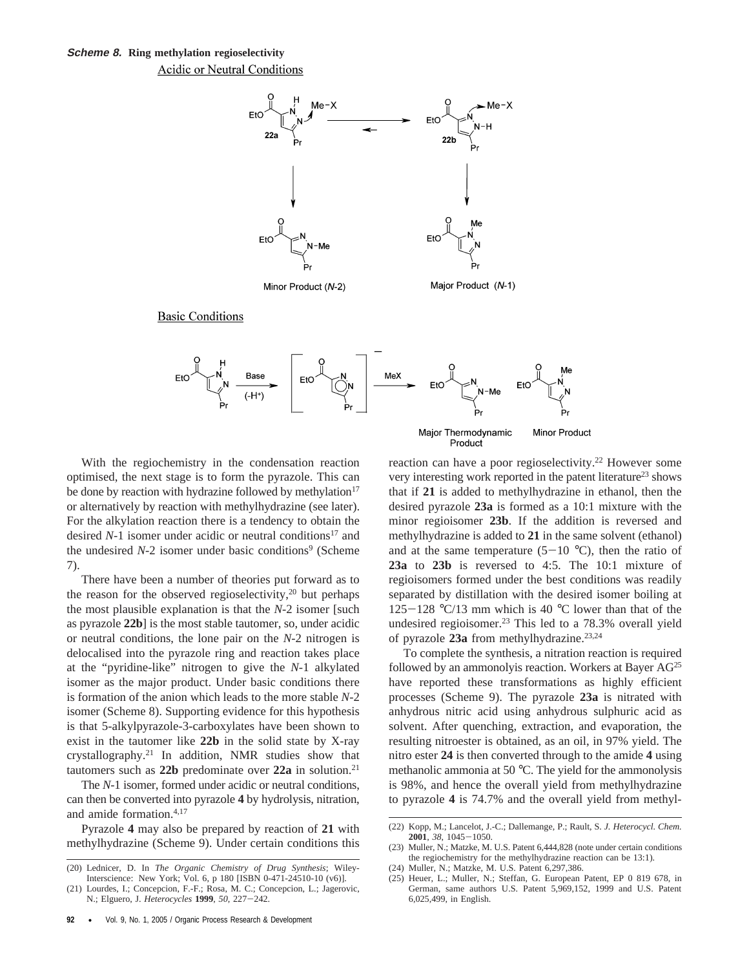

**Basic Conditions** 



Major Thermodynamic Minor Product Product

With the regiochemistry in the condensation reaction optimised, the next stage is to form the pyrazole. This can be done by reaction with hydrazine followed by methylation $17$ or alternatively by reaction with methylhydrazine (see later). For the alkylation reaction there is a tendency to obtain the desired *N*-1 isomer under acidic or neutral conditions<sup>17</sup> and the undesired *N*-2 isomer under basic conditions<sup>9</sup> (Scheme 7).

There have been a number of theories put forward as to the reason for the observed regioselectivity, $20$  but perhaps the most plausible explanation is that the *N*-2 isomer [such as pyrazole **22b**] is the most stable tautomer, so, under acidic or neutral conditions, the lone pair on the *N*-2 nitrogen is delocalised into the pyrazole ring and reaction takes place at the "pyridine-like" nitrogen to give the *N*-1 alkylated isomer as the major product. Under basic conditions there is formation of the anion which leads to the more stable *N*-2 isomer (Scheme 8). Supporting evidence for this hypothesis is that 5-alkylpyrazole-3-carboxylates have been shown to exist in the tautomer like **22b** in the solid state by X-ray crystallography.21 In addition, NMR studies show that tautomers such as **22b** predominate over **22a** in solution.21

The *N*-1 isomer, formed under acidic or neutral conditions, can then be converted into pyrazole **4** by hydrolysis, nitration, and amide formation.4,17

Pyrazole **4** may also be prepared by reaction of **21** with methylhydrazine (Scheme 9). Under certain conditions this reaction can have a poor regioselectivity.<sup>22</sup> However some very interesting work reported in the patent literature<sup>23</sup> shows that if **21** is added to methylhydrazine in ethanol, then the desired pyrazole **23a** is formed as a 10:1 mixture with the minor regioisomer **23b**. If the addition is reversed and methylhydrazine is added to **21** in the same solvent (ethanol) and at the same temperature  $(5-10 \degree C)$ , then the ratio of **23a** to **23b** is reversed to 4:5. The 10:1 mixture of regioisomers formed under the best conditions was readily separated by distillation with the desired isomer boiling at  $125-128$  °C/13 mm which is 40 °C lower than that of the undesired regioisomer.23 This led to a 78.3% overall yield of pyrazole 23a from methylhydrazine.<sup>23,24</sup>

To complete the synthesis, a nitration reaction is required followed by an ammonolyis reaction. Workers at Bayer AG<sup>25</sup> have reported these transformations as highly efficient processes (Scheme 9). The pyrazole **23a** is nitrated with anhydrous nitric acid using anhydrous sulphuric acid as solvent. After quenching, extraction, and evaporation, the resulting nitroester is obtained, as an oil, in 97% yield. The nitro ester **24** is then converted through to the amide **4** using methanolic ammonia at 50 °C. The yield for the ammonolysis is 98%, and hence the overall yield from methylhydrazine to pyrazole **4** is 74.7% and the overall yield from methyl-

<sup>(20)</sup> Lednicer, D. In *The Organic Chemistry of Drug Synthesis*; Wiley-Interscience: New York; Vol. 6, p 180 [ISBN 0-471-24510-10 (v6)].

<sup>(21)</sup> Lourdes, I.; Concepcion, F.-F.; Rosa, M. C.; Concepcion, L.; Jagerovic, N.; Elguero, J. *Heterocycles* **<sup>1999</sup>**, *<sup>50</sup>*, 227-242.

<sup>(22)</sup> Kopp, M.; Lancelot, J.-C.; Dallemange, P.; Rault, S. *J. Heterocycl. Chem.* **2001**, 38, 1045-1050.<br>
(23) Muller, N.; Matzke, M. U.S. Patent 6,444,828 (note under certain conditions

the regiochemistry for the methylhydrazine reaction can be 13:1).

<sup>(24)</sup> Muller, N.; Matzke, M. U.S. Patent 6,297,386.

<sup>(25)</sup> Heuer, L.; Muller, N.; Steffan, G. European Patent, EP 0 819 678, in German, same authors U.S. Patent 5,969,152, 1999 and U.S. Patent 6,025,499, in English.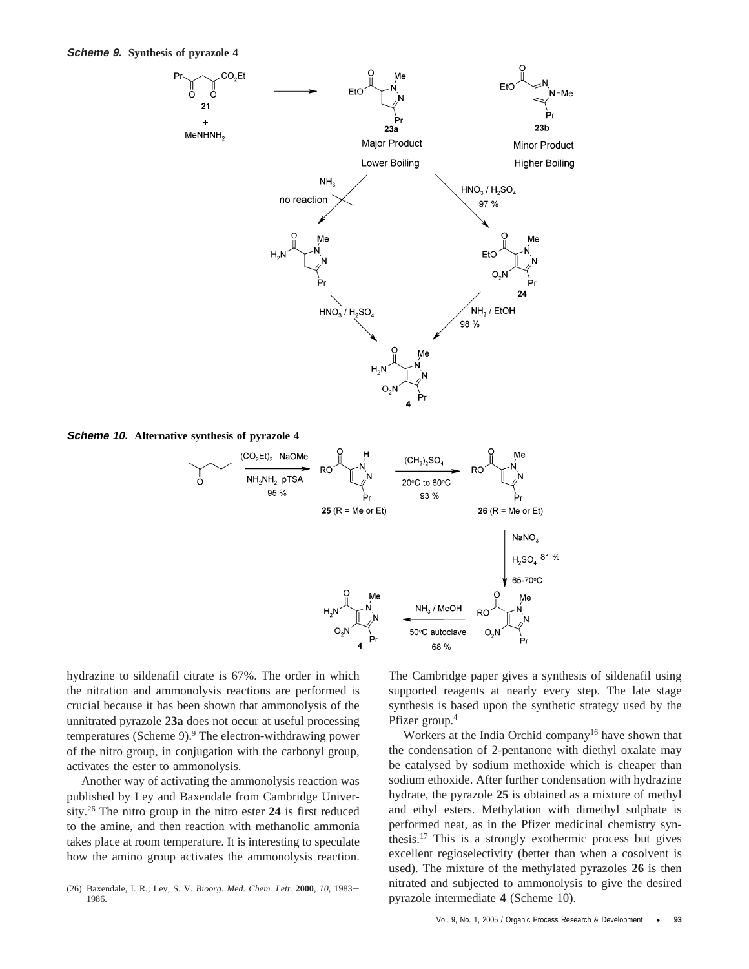**Scheme 9. Synthesis of pyrazole 4**



**Scheme 10. Alternative synthesis of pyrazole 4**



hydrazine to sildenafil citrate is 67%. The order in which the nitration and ammonolysis reactions are performed is crucial because it has been shown that ammonolysis of the unnitrated pyrazole **23a** does not occur at useful processing temperatures (Scheme 9).<sup>9</sup> The electron-withdrawing power of the nitro group, in conjugation with the carbonyl group, activates the ester to ammonolysis.

Another way of activating the ammonolysis reaction was published by Ley and Baxendale from Cambridge University.26 The nitro group in the nitro ester **24** is first reduced to the amine, and then reaction with methanolic ammonia takes place at room temperature. It is interesting to speculate how the amino group activates the ammonolysis reaction. The Cambridge paper gives a synthesis of sildenafil using supported reagents at nearly every step. The late stage synthesis is based upon the synthetic strategy used by the Pfizer group.4

Workers at the India Orchid company<sup>16</sup> have shown that the condensation of 2-pentanone with diethyl oxalate may be catalysed by sodium methoxide which is cheaper than sodium ethoxide. After further condensation with hydrazine hydrate, the pyrazole **25** is obtained as a mixture of methyl and ethyl esters. Methylation with dimethyl sulphate is performed neat, as in the Pfizer medicinal chemistry synthesis.17 This is a strongly exothermic process but gives excellent regioselectivity (better than when a cosolvent is used). The mixture of the methylated pyrazoles **26** is then nitrated and subjected to ammonolysis to give the desired pyrazole intermediate **4** (Scheme 10).

<sup>(26)</sup> Baxendale, I. R.; Ley, S. V. *Bioorg. Med. Chem. Lett*. **<sup>2000</sup>**, *<sup>10</sup>*, 1983- 1986.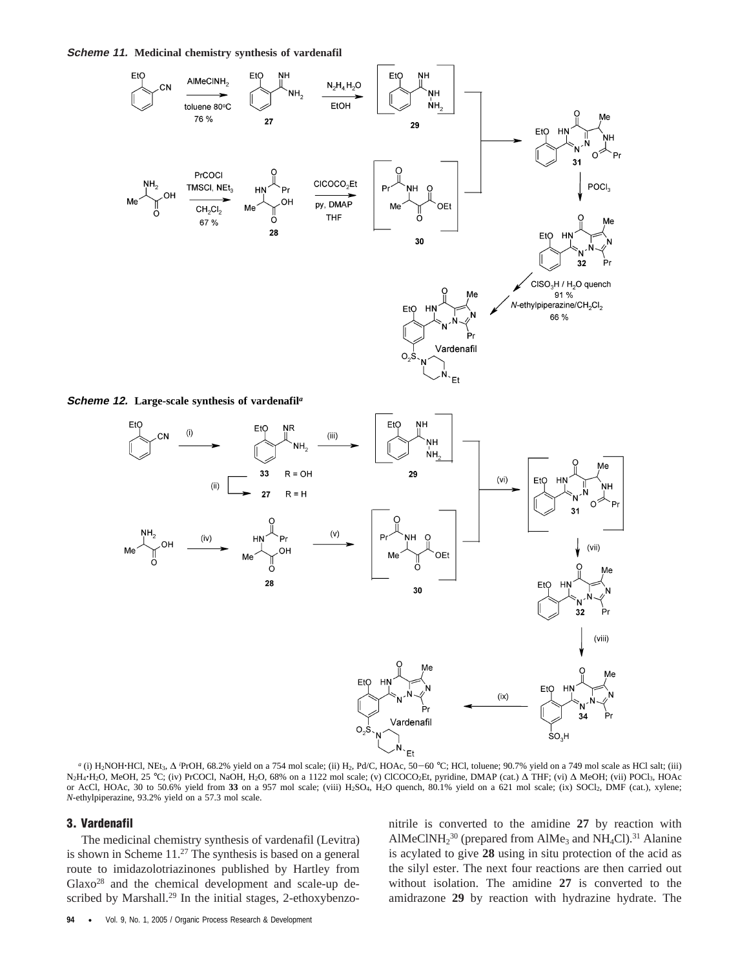**Scheme 11. Medicinal chemistry synthesis of vardenafil**



**Scheme 12. Large-scale synthesis of vardenafil***<sup>a</sup>*



*a* (i) H<sub>2</sub>NOH·HCl, NEt<sub>3</sub>, ∆ <sup>*i*</sup>PrOH, 68.2% yield on a 754 mol scale; (ii) H<sub>2</sub>, Pd/C, HOAc, 50-60 °C; HCl, toluene; 90.7% yield on a 749 mol scale as HCl salt; (iii) PrOH, 68.2% yield on a 754 mol scale; (ii) H<sub>2</sub>, Pd/C, HOAc, 50–60 °C; HCl, toluene; 90.7% yield on a 749 mol scale as HCl salt; (iii)<br>PrCOCL NaOH, H2O, 68% on a 1122 mol scale: (v) CICOCO-Et, pyridine, DMAP (cat.) A THE: N<sub>2</sub>H<sub>4</sub>·H<sub>2</sub>O, MeOH, 25 °C; (iv) PrCOCl, NaOH, H<sub>2</sub>O, 68% on a 1122 mol scale; (v) ClCOCO<sub>2</sub>Et, pyridine, DMAP (cat.) Δ THF; (vi) Δ MeOH; (vii) POCl<sub>3</sub>, HOAc<br>or AcCl. HOAc. 30 to 50.6% vield from 33 on a 957 mol scale; or AcCl, HOAc, 30 to 50.6% yield from **33** on a 957 mol scale; (viii) H2SO4, H2O quench, 80.1% yield on a 621 mol scale; (ix) SOCl2, DMF (cat.), xylene; *N*-ethylpiperazine, 93.2% yield on a 57.3 mol scale.

#### **3. Vardenafil**

The medicinal chemistry synthesis of vardenafil (Levitra) is shown in Scheme 11.27 The synthesis is based on a general route to imidazolotriazinones published by Hartley from Glaxo28 and the chemical development and scale-up described by Marshall.<sup>29</sup> In the initial stages, 2-ethoxybenzonitrile is converted to the amidine **27** by reaction with AlMeClNH $_2^{30}$  (prepared from AlMe<sub>3</sub> and NH<sub>4</sub>Cl).<sup>31</sup> Alanine is acylated to give **28** using in situ protection of the acid as the silyl ester. The next four reactions are then carried out without isolation. The amidine **27** is converted to the amidrazone **29** by reaction with hydrazine hydrate. The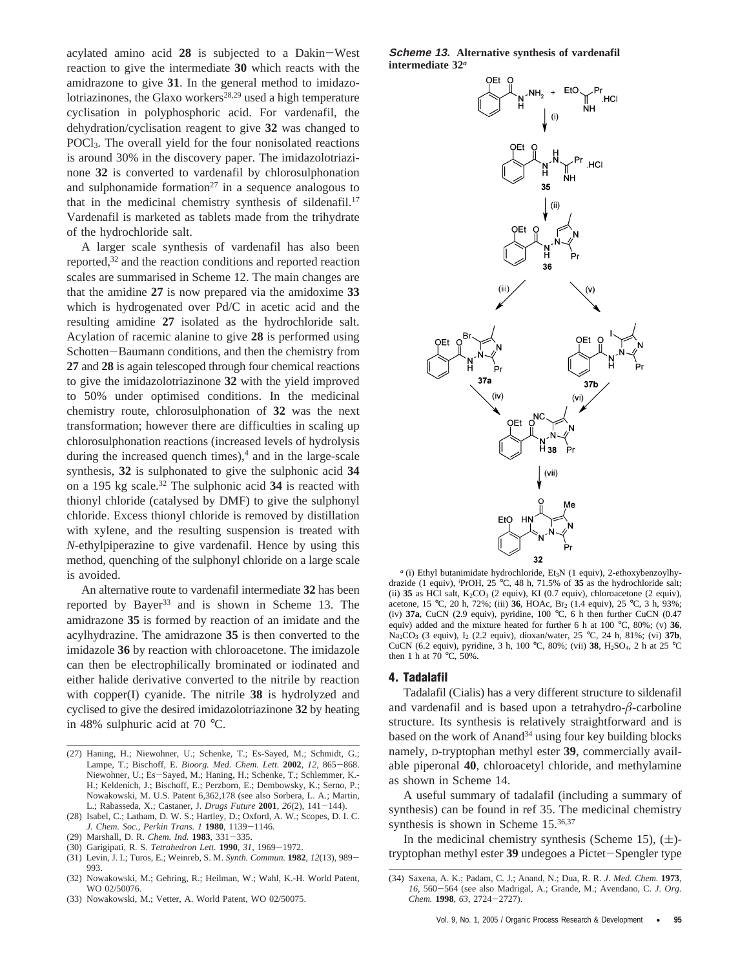acylated amino acid **<sup>28</sup>** is subjected to a Dakin-West reaction to give the intermediate **30** which reacts with the amidrazone to give **31**. In the general method to imidazolotriazinones, the Glaxo workers $28,29$  used a high temperature cyclisation in polyphosphoric acid. For vardenafil, the dehydration/cyclisation reagent to give **32** was changed to POCl3. The overall yield for the four nonisolated reactions is around 30% in the discovery paper. The imidazolotriazinone **32** is converted to vardenafil by chlorosulphonation and sulphonamide formation<sup>27</sup> in a sequence analogous to that in the medicinal chemistry synthesis of sildenafil.<sup>17</sup> Vardenafil is marketed as tablets made from the trihydrate of the hydrochloride salt.

A larger scale synthesis of vardenafil has also been reported,32 and the reaction conditions and reported reaction scales are summarised in Scheme 12. The main changes are that the amidine **27** is now prepared via the amidoxime **33** which is hydrogenated over Pd/C in acetic acid and the resulting amidine **27** isolated as the hydrochloride salt. Acylation of racemic alanine to give **28** is performed using Schotten-Baumann conditions, and then the chemistry from **27** and **28** is again telescoped through four chemical reactions to give the imidazolotriazinone **32** with the yield improved to 50% under optimised conditions. In the medicinal chemistry route, chlorosulphonation of **32** was the next transformation; however there are difficulties in scaling up chlorosulphonation reactions (increased levels of hydrolysis during the increased quench times), $4$  and in the large-scale synthesis, **32** is sulphonated to give the sulphonic acid **34** on a 195 kg scale.32 The sulphonic acid **34** is reacted with thionyl chloride (catalysed by DMF) to give the sulphonyl chloride. Excess thionyl chloride is removed by distillation with xylene, and the resulting suspension is treated with *N*-ethylpiperazine to give vardenafil. Hence by using this method, quenching of the sulphonyl chloride on a large scale is avoided.

An alternative route to vardenafil intermediate **32** has been reported by Bayer<sup>33</sup> and is shown in Scheme 13. The amidrazone **35** is formed by reaction of an imidate and the acylhydrazine. The amidrazone **35** is then converted to the imidazole **36** by reaction with chloroacetone. The imidazole can then be electrophilically brominated or iodinated and either halide derivative converted to the nitrile by reaction with copper(I) cyanide. The nitrile **38** is hydrolyzed and cyclised to give the desired imidazolotriazinone **32** by heating in 48% sulphuric acid at 70 °C.

- (27) Haning, H.; Niewohner, U.; Schenke, T.; Es-Sayed, M.; Schmidt, G.; Lampe, T.; Bischoff, E. *Bioorg. Med. Chem. Lett.* **<sup>2002</sup>**, *<sup>12</sup>*, 865-868. Niewohner, U.; Es-Sayed, M.; Haning, H.; Schenke, T.; Schlemmer, K.- H.; Keldenich, J.; Bischoff, E.; Perzborn, E.; Dembowsky, K.; Serno, P.; Nowakowski, M. U.S. Patent 6,362,178 (see also Sorbera, L. A.; Martin, L.; Rabasseda, X.; Castaner, J. *Drugs Future* **<sup>2001</sup>**, *<sup>26</sup>*(2), 141-144).
- (28) Isabel, C.; Latham, D. W. S.; Hartley, D.; Oxford, A. W.; Scopes, D. I. C. *J. Chem. Soc., Perkin Trans. 1* **1980**, 1139-1146.<br>(29) Marshall, D. R. Chem. Ind. **1983**, 331-335.
- (29) Marshall, D. R. *Chem. Ind.* **<sup>1983</sup>**, 331-335.
- (30) Garigipati, R. S. *Tetrahedron Lett.* **<sup>1990</sup>**, *<sup>31</sup>*, 1969-1972.
- (31) Levin, J. I.; Turos, E.; Weinreb, S. M. *Synth. Commun.* **<sup>1982</sup>**, *<sup>12</sup>*(13), 989- 993.
- (32) Nowakowski, M.; Gehring, R.; Heilman, W.; Wahl, K.-H. World Patent, WO 02/50076.
- (33) Nowakowski, M.; Vetter, A. World Patent, WO 02/50075.

**Scheme 13. Alternative synthesis of vardenafil intermediate 32***<sup>a</sup>*



<sup>*a*</sup> (i) Ethyl butanimidate hydrochloride, Et<sub>3</sub>N (1 equiv), 2-ethoxybenzoylhydrazide (1 equiv), *<sup>i</sup>* PrOH, 25 °C, 48 h, 71.5% of **35** as the hydrochloride salt; (ii)  $35$  as HCl salt,  $K_2CO_3$  (2 equiv), KI (0.7 equiv), chloroacetone (2 equiv), acetone, 15 °C, 20 h, 72%; (iii) 36, HOAc, Br<sub>2</sub> (1.4 equiv), 25 °C, 3 h, 93%; (iv) **37a**, CuCN (2.9 equiv), pyridine, 100 °C, 6 h then further CuCN (0.47 equiv) added and the mixture heated for further 6 h at 100 °C, 80%; (v) **36**, Na<sub>2</sub>CO<sub>3</sub> (3 equiv), I<sub>2</sub> (2.2 equiv), dioxan/water, 25 °C, 24 h, 81%; (vi) 37b, CuCN (6.2 equiv), pyridine, 3 h, 100 °C, 80%; (vii) **38**, H2SO4, 2 h at 25 °C then 1 h at 70 °C,  $50\%$ .

#### **4. Tadalafil**

Tadalafil (Cialis) has a very different structure to sildenafil and vardenafil and is based upon a tetrahydro-*â*-carboline structure. Its synthesis is relatively straightforward and is based on the work of Anand<sup>34</sup> using four key building blocks namely, D-tryptophan methyl ester **39**, commercially available piperonal **40**, chloroacetyl chloride, and methylamine as shown in Scheme 14.

A useful summary of tadalafil (including a summary of synthesis) can be found in ref 35. The medicinal chemistry synthesis is shown in Scheme 15.<sup>36,37</sup>

In the medicinal chemistry synthesis (Scheme 15),  $(\pm)$ tryptophan methyl ester **<sup>39</sup>** undegoes a Pictet-Spengler type

<sup>(34)</sup> Saxena, A. K.; Padam, C. J.; Anand, N.; Dua, R. R. *J. Med. Chem.* **1973**, *<sup>16</sup>*, 560-564 (see also Madrigal, A.; Grande, M.; Avendano, C. *J. Org. Chem.* **<sup>1998</sup>**, *<sup>63</sup>*, 2724-2727).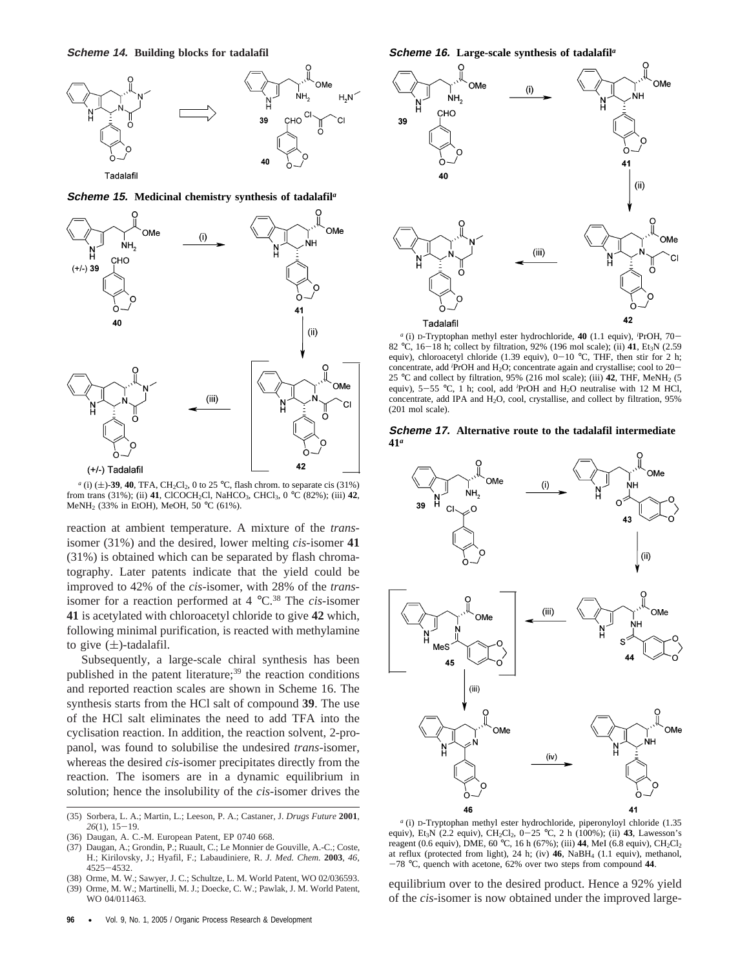

#### **Scheme 15. Medicinal chemistry synthesis of tadalafil***<sup>a</sup>*



*a* (i)  $(\pm)$ -39, 40, TFA, CH<sub>2</sub>Cl<sub>2</sub>, 0 to 25 °C, flash chrom. to separate cis (31%) from trans (31%); (iii) **41**, ClCOCH<sub>2</sub>Cl, NaHCO<sub>3</sub>, CHCl<sub>3</sub>, 0 °C (82%); (iii) **42**, MeNH2 (33% in EtOH), MeOH, 50 °C (61%).

reaction at ambient temperature. A mixture of the *trans*isomer (31%) and the desired, lower melting *cis*-isomer **41** (31%) is obtained which can be separated by flash chromatography. Later patents indicate that the yield could be improved to 42% of the *cis*-isomer, with 28% of the *trans*isomer for a reaction performed at 4 °C.38 The *cis-*isomer **41** is acetylated with chloroacetyl chloride to give **42** which, following minimal purification, is reacted with methylamine to give  $(\pm)$ -tadalafil.

Subsequently, a large-scale chiral synthesis has been published in the patent literature;<sup>39</sup> the reaction conditions and reported reaction scales are shown in Scheme 16. The synthesis starts from the HCl salt of compound **39**. The use of the HCl salt eliminates the need to add TFA into the cyclisation reaction. In addition, the reaction solvent, 2-propanol, was found to solubilise the undesired *trans*-isomer, whereas the desired *cis*-isomer precipitates directly from the reaction. The isomers are in a dynamic equilibrium in solution; hence the insolubility of the *cis*-isomer drives the

- (35) Sorbera, L. A.; Martin, L.; Leeson, P. A.; Castaner, J. *Drugs Future* **2001**, *<sup>26</sup>*(1), 15-19.
- (36) Daugan, A. C.-M. European Patent, EP 0740 668.
- (37) Daugan, A.; Grondin, P.; Ruault, C.; Le Monnier de Gouville, A.-C.; Coste, H.; Kirilovsky, J.; Hyafil, F.; Labaudiniere, R. *J. Med. Chem.* **2003**, *46*,
- <sup>4525</sup>-4532. (38) Orme, M. W.; Sawyer, J. C.; Schultze, L. M. World Patent, WO 02/036593.
- (39) Orme, M. W.; Martinelli, M. J.; Doecke, C. W.; Pawlak, J. M. World Patent, WO 04/011463.

**Scheme 16. Large-scale synthesis of tadalafil***<sup>a</sup>*



*<sup>a</sup>* (i) D-Tryptophan methyl ester hydrochloride, **40** (1.1 equiv), *<sup>i</sup>* PrOH, 70-<br>Ft-N (2.59 82 °C, 16–18 h; collect by filtration, 92% (196 mol scale); (ii)  $41$ , Et<sub>3</sub>N (2.59 equiv) chloroacetyl chloride (1.39 equiv) 0–10 °C. THE then stir for 2 h: equiv), chloroacetyl chloride (1.39 equiv),  $0-10$  °C, THF, then stir for 2 h; concentrate, add *i*PrOH and H<sub>2</sub>O; concentrate again and crystallise; cool to 20–<br>25 <sup>o</sup>C and collect by filtration, 95% (216 mol scale); (iii) **42.** THE MeNH<sub>2</sub> (5 25 °C and collect by filtration, 95% (216 mol scale); (iii) **42**, THF, MeNH2 (5 equiv),  $5-55$  °C, 1 h; cool, add <sup>*i*</sup>PrOH and  $H_2O$  neutralise with 12 M HCl, concentrate add IPA and  $H_2O$  cool, crystallise and collect by filtration 95% concentrate, add IPA and H2O, cool, crystallise, and collect by filtration, 95% (201 mol scale).

#### **Scheme 17. Alternative route to the tadalafil intermediate 41***<sup>a</sup>*



*<sup>a</sup>* (i) D-Tryptophan methyl ester hydrochloride, piperonyloyl chloride (1.35 equiv), Et<sub>3</sub>N (2.2 equiv), CH<sub>2</sub>Cl<sub>2</sub>, 0-25 °C, 2 h (100%); (ii) **43**, Lawesson's reagent (0.6 equiv), DME, 60 °C, 16 h (67%); (iii) **44**, MeI (6.8 equiv),  $CH_2Cl_2$ at reflux (protected from light), 24 h; (iv) **46**, NaBH4 (1.1 equiv), methanol, -<sup>78</sup> °C, quench with acetone, 62% over two steps from compound **<sup>44</sup>**.

equilibrium over to the desired product. Hence a 92% yield of the *cis*-isomer is now obtained under the improved large-